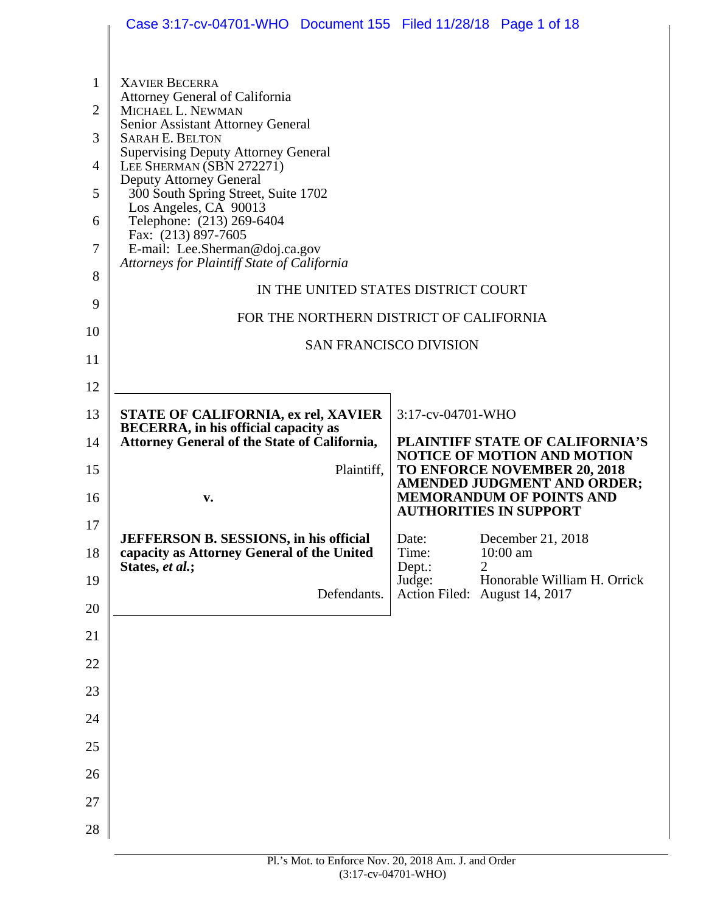|                | Case 3:17-cv-04701-WHO  Document 155  Filed 11/28/18  Page 1 of 18                                                                                |                                                                           |
|----------------|---------------------------------------------------------------------------------------------------------------------------------------------------|---------------------------------------------------------------------------|
|                |                                                                                                                                                   |                                                                           |
| $\mathbf{1}$   | <b>XAVIER BECERRA</b>                                                                                                                             |                                                                           |
| 2              | <b>Attorney General of California</b><br>MICHAEL L. NEWMAN<br>Senior Assistant Attorney General                                                   |                                                                           |
| 3              | <b>SARAH E. BELTON</b><br><b>Supervising Deputy Attorney General</b>                                                                              |                                                                           |
| 4              | LEE SHERMAN (SBN 272271)<br>Deputy Attorney General                                                                                               |                                                                           |
| 5              | 300 South Spring Street, Suite 1702<br>Los Angeles, CA 90013                                                                                      |                                                                           |
| 6              | Telephone: (213) 269-6404<br>Fax: (213) 897-7605                                                                                                  |                                                                           |
| $\overline{7}$ | E-mail: Lee.Sherman@doj.ca.gov<br>Attorneys for Plaintiff State of California                                                                     |                                                                           |
| 8              |                                                                                                                                                   | IN THE UNITED STATES DISTRICT COURT                                       |
| 9              |                                                                                                                                                   | FOR THE NORTHERN DISTRICT OF CALIFORNIA                                   |
| 10             |                                                                                                                                                   | <b>SAN FRANCISCO DIVISION</b>                                             |
| 11             |                                                                                                                                                   |                                                                           |
| 12             |                                                                                                                                                   |                                                                           |
| 13<br>14       | <b>STATE OF CALIFORNIA, ex rel, XAVIER</b><br><b>BECERRA</b> , in his official capacity as<br><b>Attorney General of the State of California,</b> | 3:17-cv-04701-WHO<br>PLAINTIFF STATE OF CALIFORNIA'S                      |
| 15             | Plaintiff,                                                                                                                                        | <b>NOTICE OF MOTION AND MOTION</b><br><b>TO ENFORCE NOVEMBER 20, 2018</b> |
| 16             | V.                                                                                                                                                | AMENDED JUDGMENT AND ORDER;<br><b>MEMORANDUM OF POINTS AND</b>            |
| 17             |                                                                                                                                                   | <b>AUTHORITIES IN SUPPORT</b>                                             |
| 18             | JEFFERSON B. SESSIONS, in his official<br>capacity as Attorney General of the United                                                              | December 21, 2018<br>Date:<br>10:00 am<br>Time:                           |
| 19             | States, et al.;                                                                                                                                   | $\overline{2}$<br>Dept.:<br>Honorable William H. Orrick<br>Judge:         |
| 20             | Defendants.                                                                                                                                       | Action Filed: August 14, 2017                                             |
| 21             |                                                                                                                                                   |                                                                           |
| 22             |                                                                                                                                                   |                                                                           |
| 23             |                                                                                                                                                   |                                                                           |
| 24             |                                                                                                                                                   |                                                                           |
| 25             |                                                                                                                                                   |                                                                           |
| 26             |                                                                                                                                                   |                                                                           |
| 27             |                                                                                                                                                   |                                                                           |
| 28             |                                                                                                                                                   |                                                                           |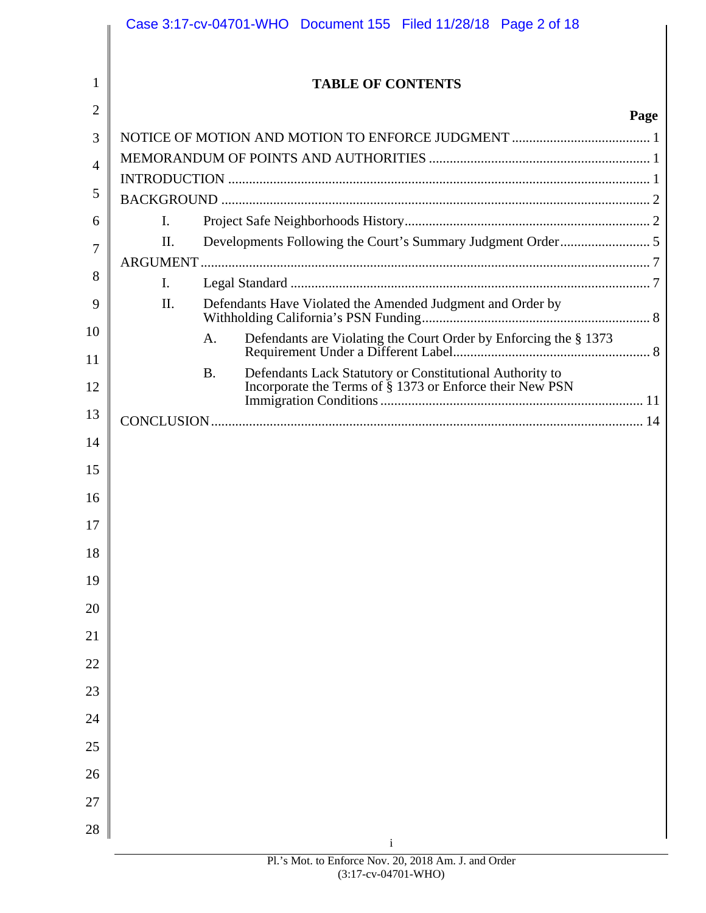|                | Case 3:17-cv-04701-WHO Document 155 Filed 11/28/18 Page 2 of 18         |
|----------------|-------------------------------------------------------------------------|
|                |                                                                         |
| 1              | <b>TABLE OF CONTENTS</b>                                                |
| 2              | Page                                                                    |
| 3              |                                                                         |
| $\overline{A}$ |                                                                         |
| 5              |                                                                         |
| 6              | Ι.                                                                      |
| 7              | II.                                                                     |
| 8              |                                                                         |
| 9              | L.<br>Defendants Have Violated the Amended Judgment and Order by<br>II. |
| 10             |                                                                         |
| 11             | Defendants are Violating the Court Order by Enforcing the § 1373<br>A.  |
|                | Defendants Lack Statutory or Constitutional Authority to<br><b>B.</b>   |
| 12             | Incorporate the Terms of § 1373 or Enforce their New PSN                |
| 13             |                                                                         |
| 14             |                                                                         |
| 15             |                                                                         |
| 16             |                                                                         |
| 17             |                                                                         |
| 18             |                                                                         |
| 19             |                                                                         |
| 20             |                                                                         |
| 21             |                                                                         |
| 22             |                                                                         |
| 23             |                                                                         |
| 24             |                                                                         |
| 25             |                                                                         |
| 26             |                                                                         |
| 27             |                                                                         |
| 28             |                                                                         |
|                | $\mathbf{i}$                                                            |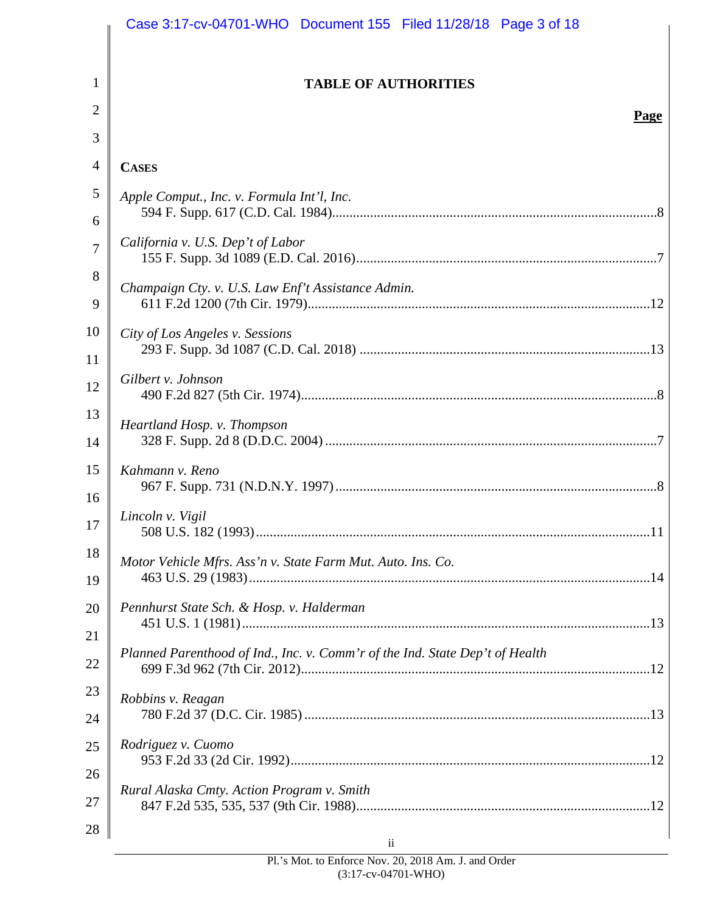|          | Case 3:17-cv-04701-WHO  Document 155  Filed 11/28/18  Page 3 of 18           |
|----------|------------------------------------------------------------------------------|
| 1        | <b>TABLE OF AUTHORITIES</b>                                                  |
| 2        |                                                                              |
| 3        | Page                                                                         |
| 4        | <b>CASES</b>                                                                 |
| 5        | Apple Comput., Inc. v. Formula Int'l, Inc.                                   |
| 6        |                                                                              |
| 7        | California v. U.S. Dep't of Labor                                            |
| 8<br>9   | Champaign Cty. v. U.S. Law Enf't Assistance Admin.                           |
| 10       | City of Los Angeles v. Sessions                                              |
| 11<br>12 | Gilbert v. Johnson                                                           |
| 13       |                                                                              |
| 14       | Heartland Hosp. v. Thompson                                                  |
| 15<br>16 | Kahmann v. Reno                                                              |
| 17       | Lincoln v. Vigil                                                             |
| 18<br>19 | Motor Vehicle Mfrs. Ass'n v. State Farm Mut. Auto. Ins. Co.                  |
| 20       | Pennhurst State Sch. & Hosp. v. Halderman                                    |
| 21       |                                                                              |
| 22       | Planned Parenthood of Ind., Inc. v. Comm'r of the Ind. State Dep't of Health |
| 23       | Robbins v. Reagan                                                            |
| 24       |                                                                              |
| 25       | Rodriguez v. Cuomo                                                           |
| 26       | Rural Alaska Cmty. Action Program v. Smith                                   |
| 27       |                                                                              |
| 28       | $\overline{\mathbf{11}}$                                                     |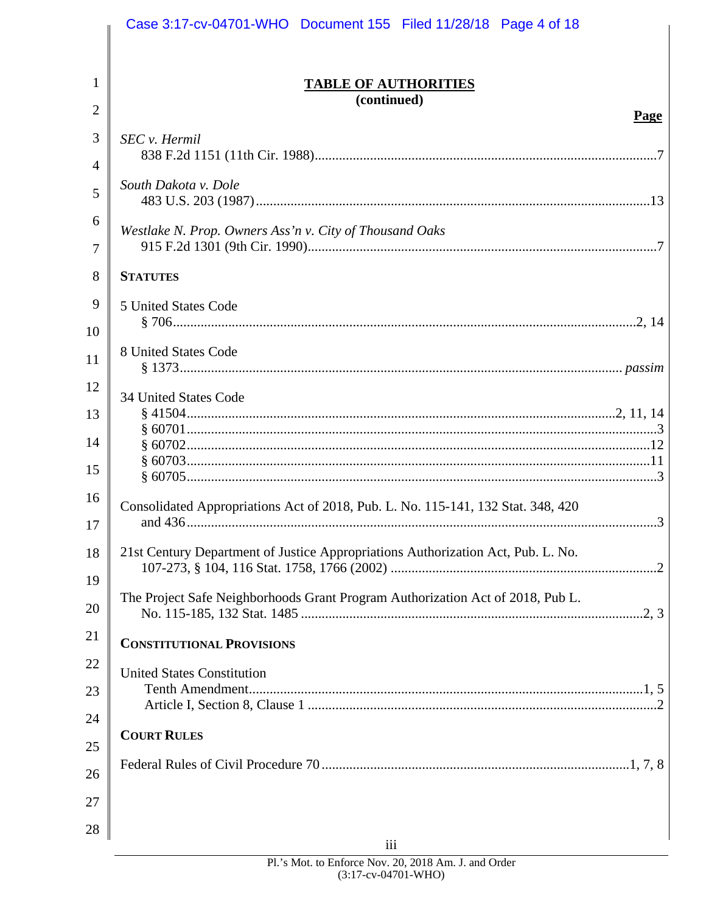|                | Case 3:17-cv-04701-WHO Document 155 Filed 11/28/18 Page 4 of 18                  |
|----------------|----------------------------------------------------------------------------------|
|                |                                                                                  |
| 1              | <b>TABLE OF AUTHORITIES</b><br>(continued)                                       |
| $\overline{2}$ | Page                                                                             |
| 3              | SEC v. Hermil                                                                    |
| $\overline{4}$ |                                                                                  |
| 5              | South Dakota v. Dole                                                             |
| 6              | Westlake N. Prop. Owners Ass'n v. City of Thousand Oaks                          |
| 7              |                                                                                  |
| 8              | <b>STATUTES</b>                                                                  |
| 9              | 5 United States Code                                                             |
| 10             |                                                                                  |
| 11             | 8 United States Code                                                             |
| 12             | <b>34 United States Code</b>                                                     |
| 13             |                                                                                  |
| 14             |                                                                                  |
| 15             |                                                                                  |
| 16             | Consolidated Appropriations Act of 2018, Pub. L. No. 115-141, 132 Stat. 348, 420 |
| 17             |                                                                                  |
| 18             | 21st Century Department of Justice Appropriations Authorization Act, Pub. L. No. |
| 19             |                                                                                  |
| 20             | The Project Safe Neighborhoods Grant Program Authorization Act of 2018, Pub L.   |
| 21             | <b>CONSTITUTIONAL PROVISIONS</b>                                                 |
| 22             | <b>United States Constitution</b>                                                |
| 23             |                                                                                  |
| 24             |                                                                                  |
| 25             | <b>COURT RULES</b>                                                               |
| 26             |                                                                                  |
| 27             |                                                                                  |
| 28             |                                                                                  |
|                | iii                                                                              |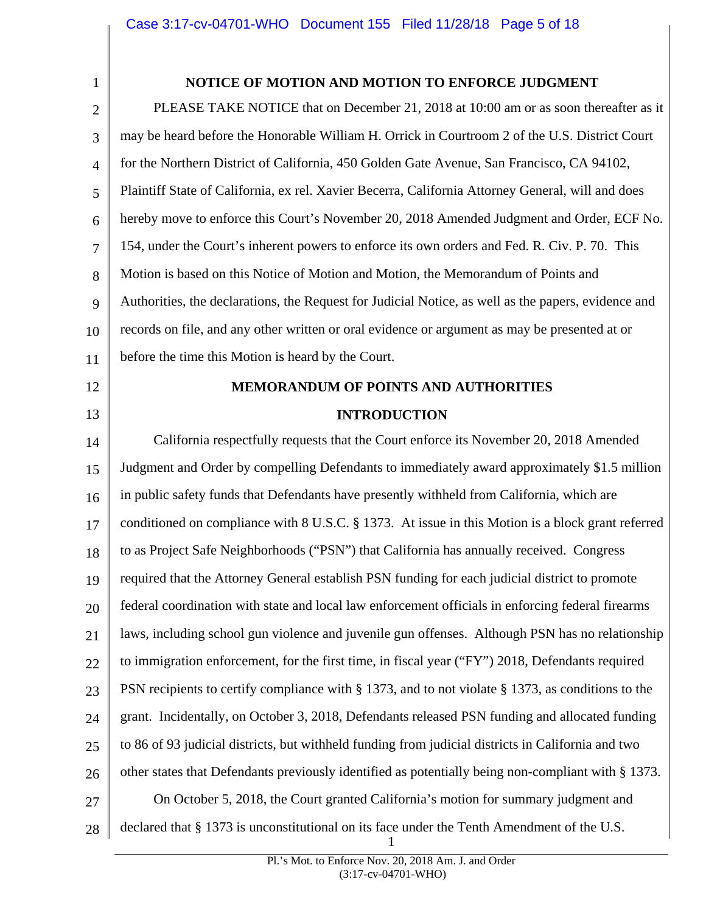<span id="page-4-0"></span>

## **NOTICE OF MOTION AND MOTION TO ENFORCE JUDGMENT**

2 3 4 5 6 7 8 9 10 11 PLEASE TAKE NOTICE that on December 21, 2018 at 10:00 am or as soon thereafter as it may be heard before the Honorable William H. Orrick in Courtroom 2 of the U.S. District Court for the Northern District of California, 450 Golden Gate Avenue, San Francisco, CA 94102, Plaintiff State of California, ex rel. Xavier Becerra, California Attorney General, will and does hereby move to enforce this Court's November 20, 2018 Amended Judgment and Order, ECF No. 154, under the Court's inherent powers to enforce its own orders and Fed. R. Civ. P. 70. This Motion is based on this Notice of Motion and Motion, the Memorandum of Points and Authorities, the declarations, the Request for Judicial Notice, as well as the papers, evidence and records on file, and any other written or oral evidence or argument as may be presented at or before the time this Motion is heard by the Court.

12

13

# **MEMORANDUM OF POINTS AND AUTHORITIES INTRODUCTION**

14 15 16 17 18 19 20 21 22 23 24 25 26 27 28 California respectfully requests that the Court enforce its November 20, 2018 Amended Judgment and Order by compelling Defendants to immediately award approximately \$1.5 million in public safety funds that Defendants have presently withheld from California, which are conditioned on compliance with 8 U.S.C. § 1373. At issue in this Motion is a block grant referred to as Project Safe Neighborhoods ("PSN") that California has annually received. Congress required that the Attorney General establish PSN funding for each judicial district to promote federal coordination with state and local law enforcement officials in enforcing federal firearms laws, including school gun violence and juvenile gun offenses. Although PSN has no relationship to immigration enforcement, for the first time, in fiscal year ("FY") 2018, Defendants required PSN recipients to certify compliance with § 1373, and to not violate § 1373, as conditions to the grant. Incidentally, on October 3, 2018, Defendants released PSN funding and allocated funding to 86 of 93 judicial districts, but withheld funding from judicial districts in California and two other states that Defendants previously identified as potentially being non-compliant with § 1373. On October 5, 2018, the Court granted California's motion for summary judgment and declared that § 1373 is unconstitutional on its face under the Tenth Amendment of the U.S.

1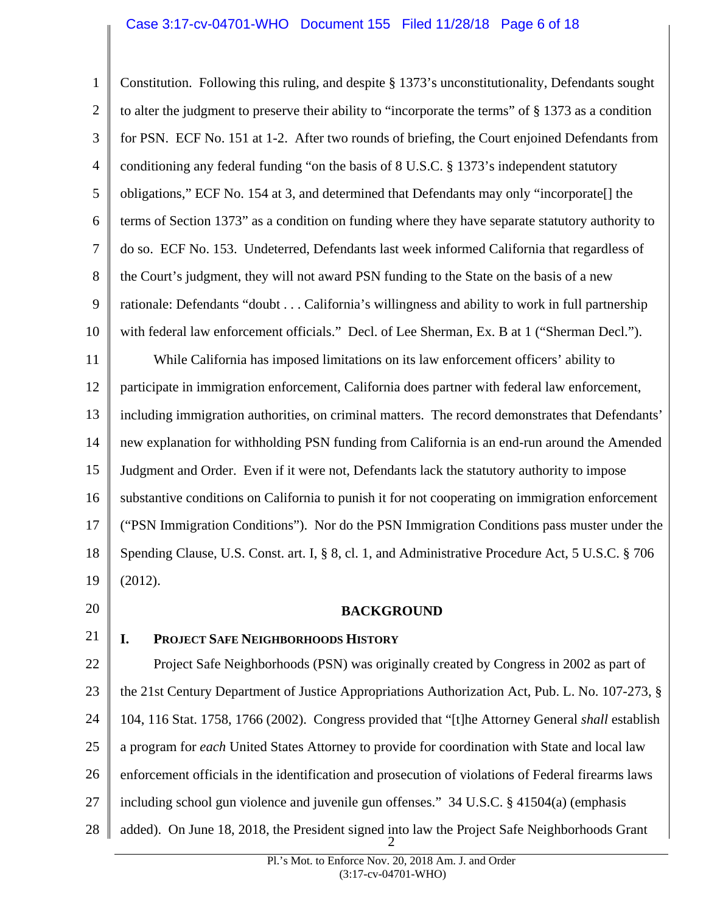### Case 3:17-cv-04701-WHO Document 155 Filed 11/28/18 Page 6 of 18

<span id="page-5-0"></span>1 2 3 4 5 6 7 8 9 10 11 12 13 14 15 16 17 18 19 20 21 22 23 24 25 26 Constitution. Following this ruling, and despite § 1373's unconstitutionality, Defendants sought to alter the judgment to preserve their ability to "incorporate the terms" of § 1373 as a condition for PSN. ECF No. 151 at 1-2. After two rounds of briefing, the Court enjoined Defendants from conditioning any federal funding "on the basis of 8 U.S.C. § 1373's independent statutory obligations," ECF No. 154 at 3, and determined that Defendants may only "incorporate[] the terms of Section 1373" as a condition on funding where they have separate statutory authority to do so. ECF No. 153. Undeterred, Defendants last week informed California that regardless of the Court's judgment, they will not award PSN funding to the State on the basis of a new rationale: Defendants "doubt . . . California's willingness and ability to work in full partnership with federal law enforcement officials." Decl. of Lee Sherman, Ex. B at 1 ("Sherman Decl."). While California has imposed limitations on its law enforcement officers' ability to participate in immigration enforcement, California does partner with federal law enforcement, including immigration authorities, on criminal matters. The record demonstrates that Defendants' new explanation for withholding PSN funding from California is an end-run around the Amended Judgment and Order. Even if it were not, Defendants lack the statutory authority to impose substantive conditions on California to punish it for not cooperating on immigration enforcement ("PSN Immigration Conditions"). Nor do the PSN Immigration Conditions pass muster under the Spending Clause, U.S. Const. art. I, § 8, cl. 1, and Administrative Procedure Act, 5 U.S.C. § 706 (2012). **BACKGROUND I. PROJECT SAFE NEIGHBORHOODS HISTORY**  Project Safe Neighborhoods (PSN) was originally created by Congress in 2002 as part of the 21st Century Department of Justice Appropriations Authorization Act, Pub. L. No. 107-273, § 104, 116 Stat. 1758, 1766 (2002). Congress provided that "[t]he Attorney General *shall* establish a program for *each* United States Attorney to provide for coordination with State and local law enforcement officials in the identification and prosecution of violations of Federal firearms laws

- 27 including school gun violence and juvenile gun offenses." 34 U.S.C. § 41504(a) (emphasis
- 28 added). On June 18, 2018, the President signed into law the Project Safe Neighborhoods Grant 2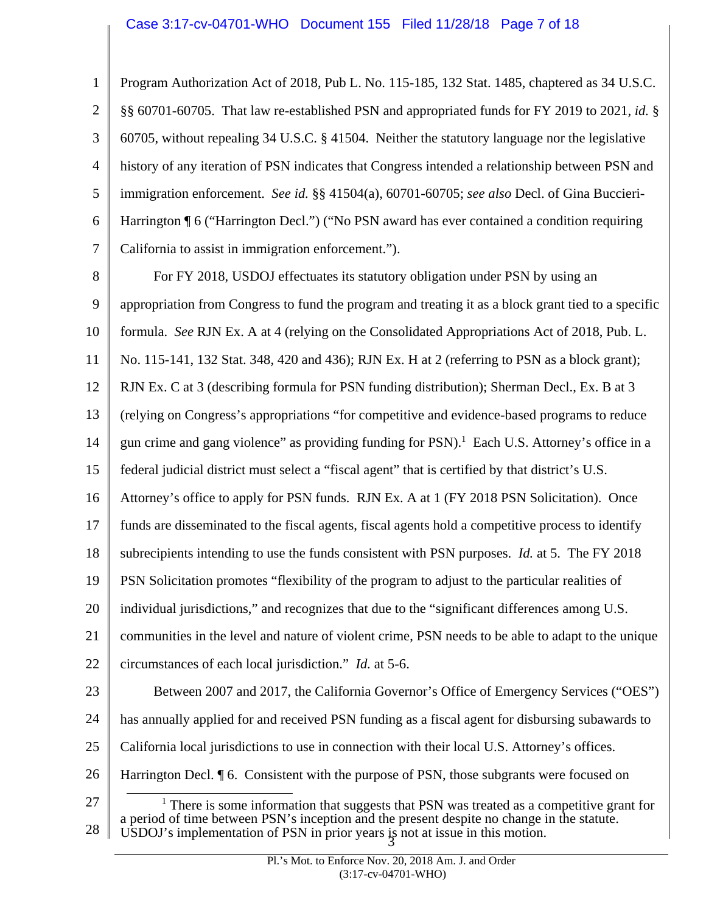## Case 3:17-cv-04701-WHO Document 155 Filed 11/28/18 Page 7 of 18

<span id="page-6-0"></span>1 2 3 4 5 6 7 Program Authorization Act of 2018, Pub L. No. 115-185, 132 Stat. 1485, chaptered as 34 U.S.C. §§ 60701-60705. That law re-established PSN and appropriated funds for FY 2019 to 2021, *id.* § 60705, without repealing 34 U.S.C. § 41504. Neither the statutory language nor the legislative history of any iteration of PSN indicates that Congress intended a relationship between PSN and immigration enforcement. *See id.* §§ 41504(a), 60701-60705; *see also* Decl. of Gina Buccieri-Harrington ¶ 6 ("Harrington Decl.") ("No PSN award has ever contained a condition requiring California to assist in immigration enforcement.").

l 8 9 10 11 12 13 14 15 16 17 18 19 20 21 22 23 24 25 26 For FY 2018, USDOJ effectuates its statutory obligation under PSN by using an appropriation from Congress to fund the program and treating it as a block grant tied to a specific formula. *See* RJN Ex. A at 4 (relying on the Consolidated Appropriations Act of 2018, Pub. L. No. 115-141, 132 Stat. 348, 420 and 436); RJN Ex. H at 2 (referring to PSN as a block grant); RJN Ex. C at 3 (describing formula for PSN funding distribution); Sherman Decl., Ex. B at 3 (relying on Congress's appropriations "for competitive and evidence-based programs to reduce gun crime and gang violence" as providing funding for  $PSN$ ).<sup>1</sup> Each U.S. Attorney's office in a federal judicial district must select a "fiscal agent" that is certified by that district's U.S. Attorney's office to apply for PSN funds. RJN Ex. A at 1 (FY 2018 PSN Solicitation). Once funds are disseminated to the fiscal agents, fiscal agents hold a competitive process to identify subrecipients intending to use the funds consistent with PSN purposes. *Id.* at 5. The FY 2018 PSN Solicitation promotes "flexibility of the program to adjust to the particular realities of individual jurisdictions," and recognizes that due to the "significant differences among U.S. communities in the level and nature of violent crime, PSN needs to be able to adapt to the unique circumstances of each local jurisdiction." *Id.* at 5-6. Between 2007 and 2017, the California Governor's Office of Emergency Services ("OES") has annually applied for and received PSN funding as a fiscal agent for disbursing subawards to California local jurisdictions to use in connection with their local U.S. Attorney's offices. Harrington Decl. ¶ 6. Consistent with the purpose of PSN, those subgrants were focused on

27 28 <sup>1</sup> There is some information that suggests that PSN was treated as a competitive grant for a period of time between PSN's inception and the present despite no change in the statute. USDOJ's implementation of PSN in prior years is not at issue in this motion.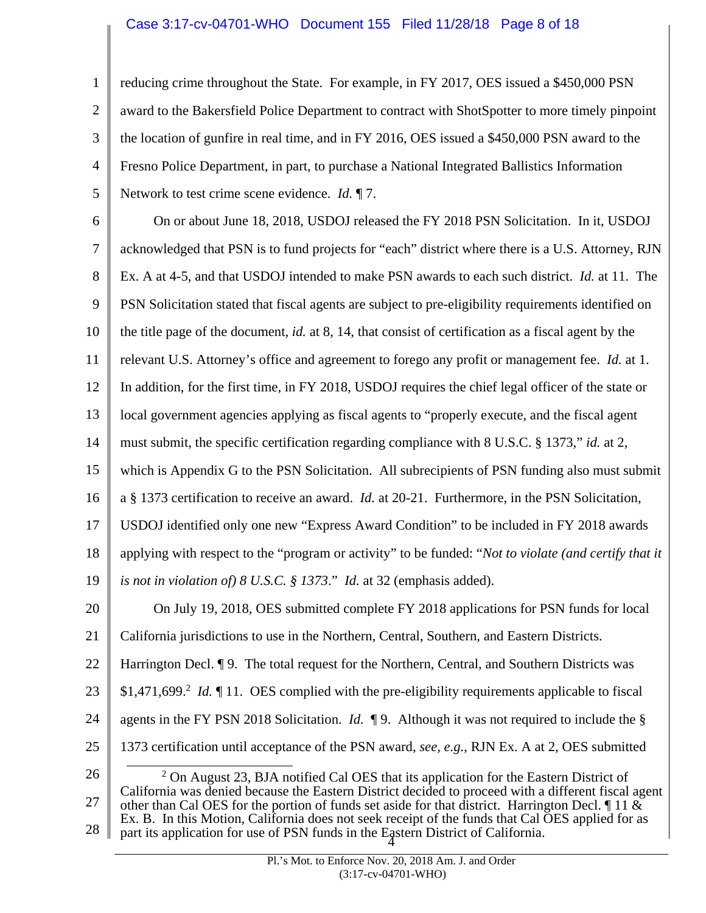## Case 3:17-cv-04701-WHO Document 155 Filed 11/28/18 Page 8 of 18

1 2 3 4 5 reducing crime throughout the State. For example, in FY 2017, OES issued a \$450,000 PSN award to the Bakersfield Police Department to contract with ShotSpotter to more timely pinpoint the location of gunfire in real time, and in FY 2016, OES issued a \$450,000 PSN award to the Fresno Police Department, in part, to purchase a National Integrated Ballistics Information Network to test crime scene evidence. *Id.* ¶ 7.

\$1,471,699.<sup>2</sup> *Id.* 11. OES complied with the pre-eligibility requirements applicable to fiscal 6 7 8 9 10 11 12 13 14 15 16 17 18 19 20 21 22 23 24 25 On or about June 18, 2018, USDOJ released the FY 2018 PSN Solicitation. In it, USDOJ acknowledged that PSN is to fund projects for "each" district where there is a U.S. Attorney, RJN Ex. A at 4-5, and that USDOJ intended to make PSN awards to each such district. *Id.* at 11. The PSN Solicitation stated that fiscal agents are subject to pre-eligibility requirements identified on the title page of the document, *id.* at 8, 14, that consist of certification as a fiscal agent by the relevant U.S. Attorney's office and agreement to forego any profit or management fee. *Id.* at 1. In addition, for the first time, in FY 2018, USDOJ requires the chief legal officer of the state or local government agencies applying as fiscal agents to "properly execute, and the fiscal agent must submit, the specific certification regarding compliance with 8 U.S.C. § 1373," *id.* at 2, which is Appendix G to the PSN Solicitation. All subrecipients of PSN funding also must submit a § 1373 certification to receive an award. *Id.* at 20-21. Furthermore, in the PSN Solicitation, USDOJ identified only one new "Express Award Condition" to be included in FY 2018 awards applying with respect to the "program or activity" to be funded: "*Not to violate (and certify that it is not in violation of) 8 U.S.C. § 1373*." *Id.* at 32 (emphasis added). On July 19, 2018, OES submitted complete FY 2018 applications for PSN funds for local California jurisdictions to use in the Northern, Central, Southern, and Eastern Districts. Harrington Decl. <sup>¶</sup> 9. The total request for the Northern, Central, and Southern Districts was agents in the FY PSN 2018 Solicitation. *Id.* ¶ 9. Although it was not required to include the § 1373 certification until acceptance of the PSN award, *see, e.g.*, RJN Ex. A at 2, OES submitted

l 26 27 28  $2$  On August 23, BJA notified Cal OES that its application for the Eastern District of California was denied because the Eastern District decided to proceed with a different fiscal agent other than Cal OES for the portion of funds set aside for that district. Harrington Decl.  $\P$  11  $\&$ Ex. B. In this Motion, California does not seek receipt of the funds that Cal OES applied for as part its application for use of PSN funds in the Eastern District of California. 4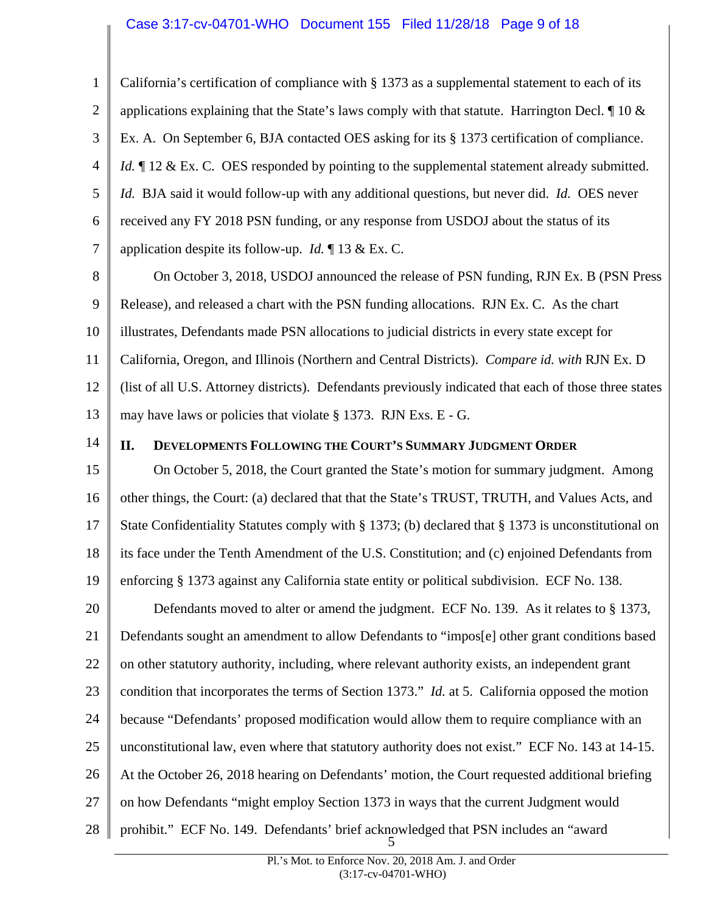## Case 3:17-cv-04701-WHO Document 155 Filed 11/28/18 Page 9 of 18

<span id="page-8-0"></span>Ex. A. On September 6, BJA contacted OES asking for its § 1373 certification of compliance. *Id.* 12 & Ex. C. OES responded by pointing to the supplemental statement already submitted. 1 2 3 4 5 6 7 California's certification of compliance with § 1373 as a supplemental statement to each of its applications explaining that the State's laws comply with that statute. Harrington Decl.  $\parallel$  10 & *Id.* BJA said it would follow-up with any additional questions, but never did. *Id.* OES never received any FY 2018 PSN funding, or any response from USDOJ about the status of its application despite its follow-up. *Id.* ¶ 13 & Ex. C.

8 9 10 11 12 13 On October 3, 2018, USDOJ announced the release of PSN funding, RJN Ex. B (PSN Press Release), and released a chart with the PSN funding allocations. RJN Ex. C. As the chart illustrates, Defendants made PSN allocations to judicial districts in every state except for California, Oregon, and Illinois (Northern and Central Districts). *Compare id. with* RJN Ex. D (list of all U.S. Attorney districts). Defendants previously indicated that each of those three states may have laws or policies that violate § 1373. RJN Exs. E - G.

14

### **II. DEVELOPMENTS FOLLOWING THE COURT'S SUMMARY JUDGMENT ORDER**

15 16 17 18 19 On October 5, 2018, the Court granted the State's motion for summary judgment. Among other things, the Court: (a) declared that that the State's TRUST, TRUTH, and Values Acts, and State Confidentiality Statutes comply with § 1373; (b) declared that § 1373 is unconstitutional on its face under the Tenth Amendment of the U.S. Constitution; and (c) enjoined Defendants from enforcing § 1373 against any California state entity or political subdivision. ECF No. 138.

20 21 22 23 24 25 26 27 28 Defendants moved to alter or amend the judgment. ECF No. 139. As it relates to § 1373, Defendants sought an amendment to allow Defendants to "impos[e] other grant conditions based on other statutory authority, including, where relevant authority exists, an independent grant condition that incorporates the terms of Section 1373." *Id.* at 5. California opposed the motion because "Defendants' proposed modification would allow them to require compliance with an unconstitutional law, even where that statutory authority does not exist." ECF No. 143 at 14-15. At the October 26, 2018 hearing on Defendants' motion, the Court requested additional briefing on how Defendants "might employ Section 1373 in ways that the current Judgment would prohibit." ECF No. 149. Defendants' brief acknowledged that PSN includes an "award 5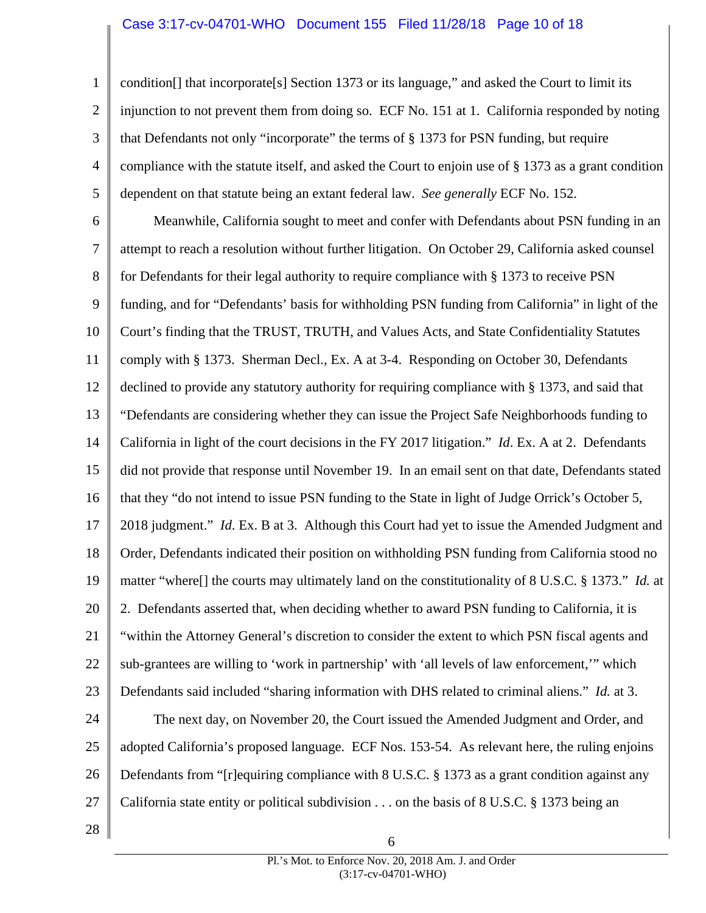1 2 3 4 5 condition[] that incorporate[s] Section 1373 or its language," and asked the Court to limit its injunction to not prevent them from doing so. ECF No. 151 at 1. California responded by noting that Defendants not only "incorporate" the terms of § 1373 for PSN funding, but require compliance with the statute itself, and asked the Court to enjoin use of § 1373 as a grant condition dependent on that statute being an extant federal law. *See generally* ECF No. 152.

6 7 8 9 10 11 12 13 14 15 16 17 18 19 20 21 22 23 24 25 26 Meanwhile, California sought to meet and confer with Defendants about PSN funding in an attempt to reach a resolution without further litigation. On October 29, California asked counsel for Defendants for their legal authority to require compliance with § 1373 to receive PSN funding, and for "Defendants' basis for withholding PSN funding from California" in light of the Court's finding that the TRUST, TRUTH, and Values Acts, and State Confidentiality Statutes comply with § 1373. Sherman Decl., Ex. A at 3-4. Responding on October 30, Defendants declined to provide any statutory authority for requiring compliance with § 1373, and said that "Defendants are considering whether they can issue the Project Safe Neighborhoods funding to California in light of the court decisions in the FY 2017 litigation." *Id*. Ex. A at 2. Defendants did not provide that response until November 19. In an email sent on that date, Defendants stated that they "do not intend to issue PSN funding to the State in light of Judge Orrick's October 5, 2018 judgment." *Id*. Ex. B at 3. Although this Court had yet to issue the Amended Judgment and Order, Defendants indicated their position on withholding PSN funding from California stood no matter "where[] the courts may ultimately land on the constitutionality of 8 U.S.C. § 1373." *Id.* at 2. Defendants asserted that, when deciding whether to award PSN funding to California, it is "within the Attorney General's discretion to consider the extent to which PSN fiscal agents and sub-grantees are willing to 'work in partnership' with 'all levels of law enforcement,'" which Defendants said included "sharing information with DHS related to criminal aliens." *Id.* at 3. The next day, on November 20, the Court issued the Amended Judgment and Order, and adopted California's proposed language. ECF Nos. 153-54. As relevant here, the ruling enjoins Defendants from "[r]equiring compliance with 8 U.S.C. § 1373 as a grant condition against any

28

27

California state entity or political subdivision . . . on the basis of 8 U.S.C. § 1373 being an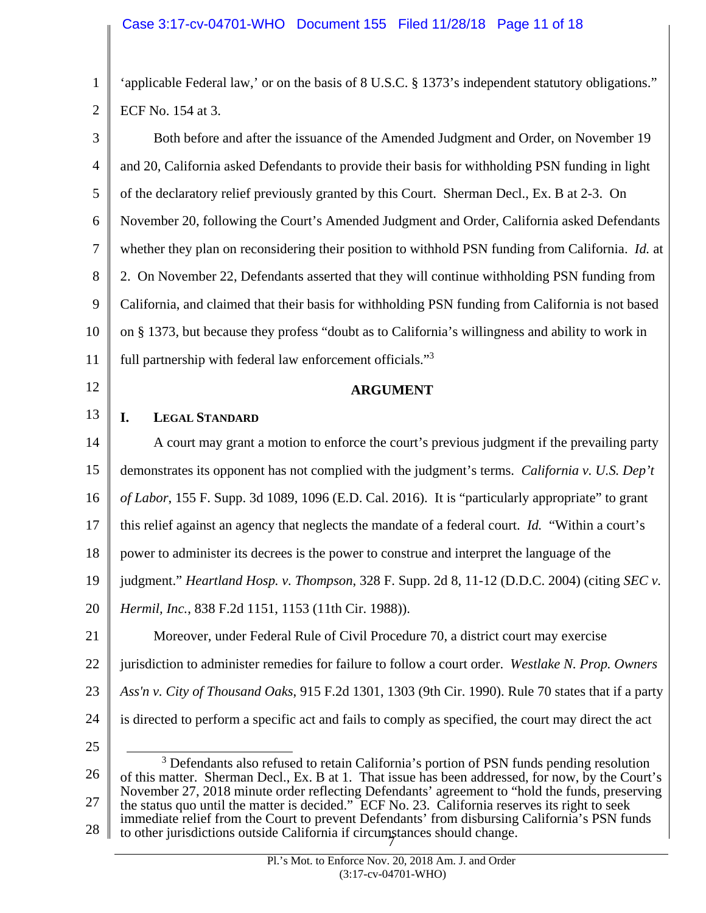<span id="page-10-0"></span>1 2 'applicable Federal law,' or on the basis of 8 U.S.C. § 1373's independent statutory obligations." ECF No. 154 at 3.

3 4 5 6 7 8 9 10 11 Both before and after the issuance of the Amended Judgment and Order, on November 19 and 20, California asked Defendants to provide their basis for withholding PSN funding in light of the declaratory relief previously granted by this Court. Sherman Decl., Ex. B at 2-3. On November 20, following the Court's Amended Judgment and Order, California asked Defendants whether they plan on reconsidering their position to withhold PSN funding from California. *Id.* at 2. On November 22, Defendants asserted that they will continue withholding PSN funding from California, and claimed that their basis for withholding PSN funding from California is not based on § 1373, but because they profess "doubt as to California's willingness and ability to work in full partnership with federal law enforcement officials."<sup>3</sup>

12

13

## **ARGUMENT**

## **I. LEGAL STANDARD**

14 15 16 17 18 19 20 21 22 A court may grant a motion to enforce the court's previous judgment if the prevailing party demonstrates its opponent has not complied with the judgment's terms. *California v. U.S. Dep't of Labor*, 155 F. Supp. 3d 1089, 1096 (E.D. Cal. 2016). It is "particularly appropriate" to grant this relief against an agency that neglects the mandate of a federal court. *Id.* "Within a court's power to administer its decrees is the power to construe and interpret the language of the judgment." *Heartland Hosp. v. Thompson*, 328 F. Supp. 2d 8, 11-12 (D.D.C. 2004) (citing *SEC v. Hermil, Inc.*, 838 F.2d 1151, 1153 (11th Cir. 1988)). Moreover, under Federal Rule of Civil Procedure 70, a district court may exercise jurisdiction to administer remedies for failure to follow a court order. *Westlake N. Prop. Owners* 

- 23
- 24 25

*Ass'n v. City of Thousand Oaks*, 915 F.2d 1301, 1303 (9th Cir. 1990). Rule 70 states that if a party

is directed to perform a specific act and fails to comply as specified, the court may direct the act

<sup>26</sup>  27 28  $\frac{1}{3}$ <sup>3</sup> Defendants also refused to retain California's portion of PSN funds pending resolution of this matter. Sherman Decl., Ex. B at 1. That issue has been addressed, for now, by the Court's November 27, 2018 minute order reflecting Defendants' agreement to "hold the funds, preserving the status quo until the matter is decided." ECF No. 23. California reserves its right to seek immediate relief from the Court to prevent Defendants' from disbursing California's PSN funds to other jurisdictions outside California if circumstances should change. 7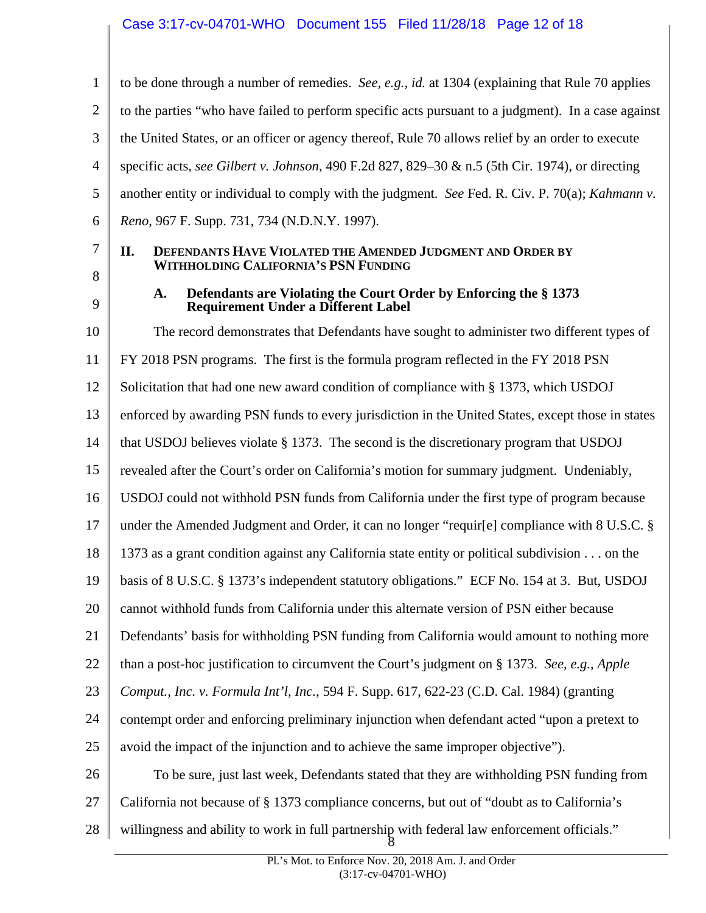<span id="page-11-0"></span>1 2 3 4 5 6 to be done through a number of remedies. *See, e.g., id.* at 1304 (explaining that Rule 70 applies to the parties "who have failed to perform specific acts pursuant to a judgment). In a case against the United States, or an officer or agency thereof, Rule 70 allows relief by an order to execute specific acts, *see Gilbert v. Johnson*, 490 F.2d 827, 829–30 & n.5 (5th Cir. 1974), or directing another entity or individual to comply with the judgment. *See* Fed. R. Civ. P. 70(a); *Kahmann v. Reno*, 967 F. Supp. 731, 734 (N.D.N.Y. 1997).

# 7 8

## **II. DEFENDANTS HAVE VIOLATED THE AMENDED JUDGMENT AND ORDER BY WITHHOLDING CALIFORNIA'S PSN FUNDING**

9

10

## **A. Defendants are Violating the Court Order by Enforcing the § 1373 Requirement Under a Different Label**

11 12 13 14 15 16 17 18 19 20 21 22 23 24 25 26 27 28 The record demonstrates that Defendants have sought to administer two different types of FY 2018 PSN programs. The first is the formula program reflected in the FY 2018 PSN Solicitation that had one new award condition of compliance with § 1373, which USDOJ enforced by awarding PSN funds to every jurisdiction in the United States, except those in states that USDOJ believes violate § 1373. The second is the discretionary program that USDOJ revealed after the Court's order on California's motion for summary judgment. Undeniably, USDOJ could not withhold PSN funds from California under the first type of program because under the Amended Judgment and Order, it can no longer "requir[e] compliance with 8 U.S.C. § 1373 as a grant condition against any California state entity or political subdivision . . . on the basis of 8 U.S.C. § 1373's independent statutory obligations." ECF No. 154 at 3. But, USDOJ cannot withhold funds from California under this alternate version of PSN either because Defendants' basis for withholding PSN funding from California would amount to nothing more than a post-hoc justification to circumvent the Court's judgment on § 1373. *See, e.g.*, *Apple Comput., Inc. v. Formula Int'l, Inc.*, 594 F. Supp. 617, 622-23 (C.D. Cal. 1984) (granting contempt order and enforcing preliminary injunction when defendant acted "upon a pretext to avoid the impact of the injunction and to achieve the same improper objective"). To be sure, just last week, Defendants stated that they are withholding PSN funding from California not because of § 1373 compliance concerns, but out of "doubt as to California's willingness and ability to work in full partnership with federal law enforcement officials." 8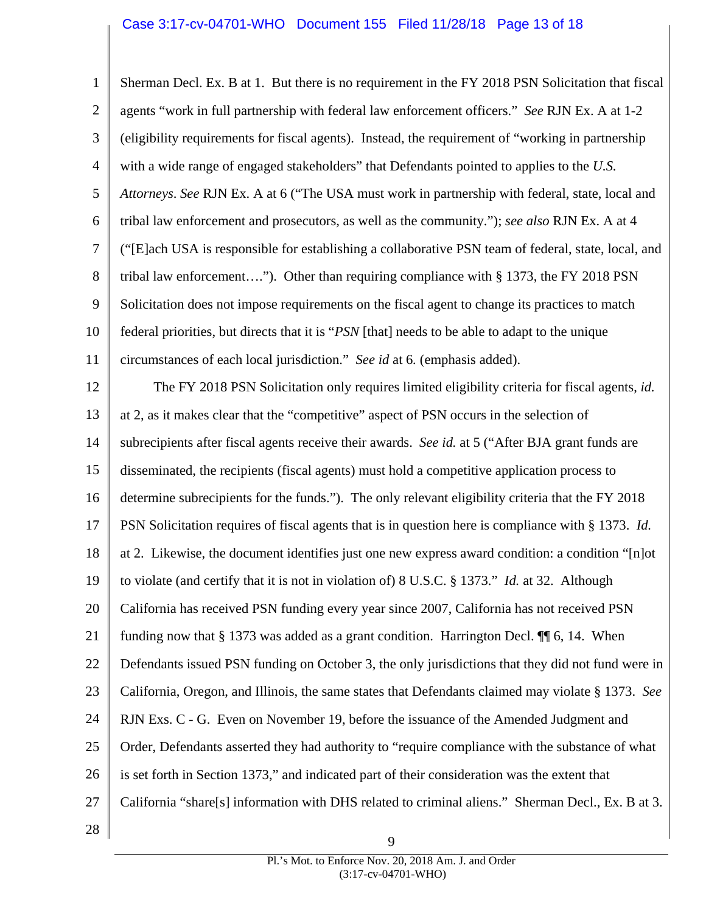## Case 3:17-cv-04701-WHO Document 155 Filed 11/28/18 Page 13 of 18

circumstances of each local jurisdiction." See id at 6. (emphasis added). 1 2 3 4 5 6 7 8 9 10 11 12 13 14 15 16 17 18 19 20 21 22 23 24 25 26 27 28 Sherman Decl. Ex. B at 1. But there is no requirement in the FY 2018 PSN Solicitation that fiscal agents "work in full partnership with federal law enforcement officers." *See* RJN Ex. A at 1-2 (eligibility requirements for fiscal agents). Instead, the requirement of "working in partnership with a wide range of engaged stakeholders" that Defendants pointed to applies to the *U.S. Attorneys*. *See* RJN Ex. A at 6 ("The USA must work in partnership with federal, state, local and tribal law enforcement and prosecutors, as well as the community."); *see also* RJN Ex. A at 4 ("[E]ach USA is responsible for establishing a collaborative PSN team of federal, state, local, and tribal law enforcement…."). Other than requiring compliance with § 1373, the FY 2018 PSN Solicitation does not impose requirements on the fiscal agent to change its practices to match federal priorities, but directs that it is "*PSN* [that] needs to be able to adapt to the unique The FY 2018 PSN Solicitation only requires limited eligibility criteria for fiscal agents, *id.* at 2, as it makes clear that the "competitive" aspect of PSN occurs in the selection of subrecipients after fiscal agents receive their awards. *See id.* at 5 ("After BJA grant funds are disseminated, the recipients (fiscal agents) must hold a competitive application process to determine subrecipients for the funds."). The only relevant eligibility criteria that the FY 2018 PSN Solicitation requires of fiscal agents that is in question here is compliance with § 1373. *Id.*  at 2. Likewise, the document identifies just one new express award condition: a condition "[n]ot to violate (and certify that it is not in violation of) 8 U.S.C. § 1373." *Id.* at 32. Although California has received PSN funding every year since 2007, California has not received PSN funding now that § 1373 was added as a grant condition. Harrington Decl. ¶¶ 6, 14. When Defendants issued PSN funding on October 3, the only jurisdictions that they did not fund were in California, Oregon, and Illinois, the same states that Defendants claimed may violate § 1373. *See*  RJN Exs. C - G. Even on November 19, before the issuance of the Amended Judgment and Order, Defendants asserted they had authority to "require compliance with the substance of what is set forth in Section 1373," and indicated part of their consideration was the extent that California "share[s] information with DHS related to criminal aliens." Sherman Decl., Ex. B at 3.

> Pl.'s Mot. to Enforce Nov. 20, 2018 Am. J. and Order (3:17-cv-04701-WHO)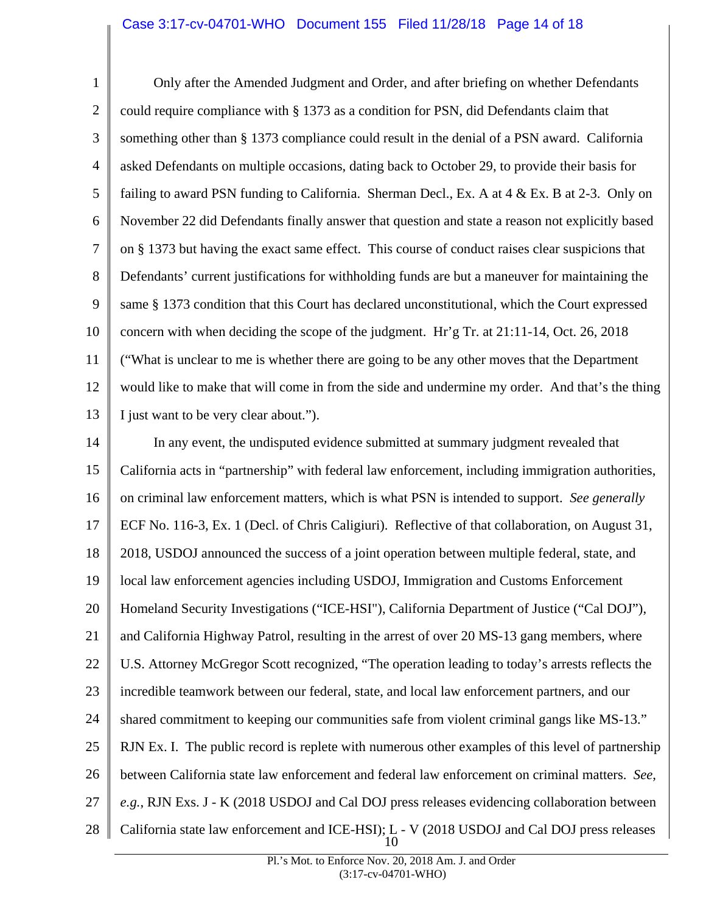1 2 3 4 5 6 7 8 9 10 11 12 13 Only after the Amended Judgment and Order, and after briefing on whether Defendants could require compliance with § 1373 as a condition for PSN, did Defendants claim that something other than § 1373 compliance could result in the denial of a PSN award. California asked Defendants on multiple occasions, dating back to October 29, to provide their basis for failing to award PSN funding to California. Sherman Decl., Ex. A at  $4 \& Ex$ . B at 2-3. Only on November 22 did Defendants finally answer that question and state a reason not explicitly based on § 1373 but having the exact same effect. This course of conduct raises clear suspicions that Defendants' current justifications for withholding funds are but a maneuver for maintaining the same § 1373 condition that this Court has declared unconstitutional, which the Court expressed concern with when deciding the scope of the judgment. Hr'g Tr. at 21:11-14, Oct. 26, 2018 ("What is unclear to me is whether there are going to be any other moves that the Department would like to make that will come in from the side and undermine my order. And that's the thing I just want to be very clear about.").

14 15 16 17 18 19 20 21 22 23 24 25 26 27 28 In any event, the undisputed evidence submitted at summary judgment revealed that California acts in "partnership" with federal law enforcement, including immigration authorities, on criminal law enforcement matters, which is what PSN is intended to support. *See generally*  ECF No. 116-3, Ex. 1 (Decl. of Chris Caligiuri). Reflective of that collaboration, on August 31, 2018, USDOJ announced the success of a joint operation between multiple federal, state, and local law enforcement agencies including USDOJ, Immigration and Customs Enforcement Homeland Security Investigations ("ICE-HSI"), California Department of Justice ("Cal DOJ"), and California Highway Patrol, resulting in the arrest of over 20 MS-13 gang members, where U.S. Attorney McGregor Scott recognized, "The operation leading to today's arrests reflects the incredible teamwork between our federal, state, and local law enforcement partners, and our shared commitment to keeping our communities safe from violent criminal gangs like MS-13." RJN Ex. I. The public record is replete with numerous other examples of this level of partnership between California state law enforcement and federal law enforcement on criminal matters. *See, e.g.*, RJN Exs. J - K (2018 USDOJ and Cal DOJ press releases evidencing collaboration between California state law enforcement and ICE-HSI); L - V (2018 USDOJ and Cal DOJ press releases 10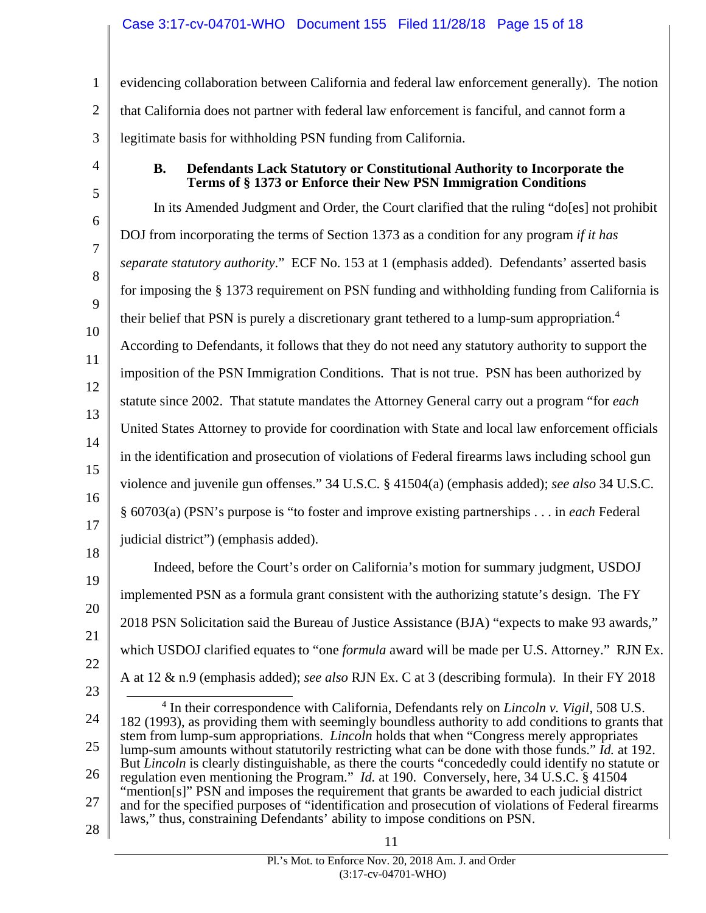<span id="page-14-0"></span>1 2 3 evidencing collaboration between California and federal law enforcement generally). The notion that California does not partner with federal law enforcement is fanciful, and cannot form a legitimate basis for withholding PSN funding from California.

4

#### **B. Defendants Lack Statutory or Constitutional Authority to Incorporate the Terms of § 1373 or Enforce their New PSN Immigration Conditions**

5 6 7 8 9 10 11 12 13 14 15 16 17 18 19 20 21 22 In its Amended Judgment and Order, the Court clarified that the ruling "do[es] not prohibit DOJ from incorporating the terms of Section 1373 as a condition for any program *if it has separate statutory authority*." ECF No. 153 at 1 (emphasis added). Defendants' asserted basis for imposing the § 1373 requirement on PSN funding and withholding funding from California is their belief that PSN is purely a discretionary grant tethered to a lump-sum appropriation.<sup>4</sup> According to Defendants, it follows that they do not need any statutory authority to support the imposition of the PSN Immigration Conditions. That is not true. PSN has been authorized by statute since 2002. That statute mandates the Attorney General carry out a program "for *each*  United States Attorney to provide for coordination with State and local law enforcement officials in the identification and prosecution of violations of Federal firearms laws including school gun violence and juvenile gun offenses." 34 U.S.C. § 41504(a) (emphasis added); *see also* 34 U.S.C. § 60703(a) (PSN's purpose is "to foster and improve existing partnerships . . . in *each* Federal judicial district") (emphasis added). Indeed, before the Court's order on California's motion for summary judgment, USDOJ implemented PSN as a formula grant consistent with the authorizing statute's design. The FY 2018 PSN Solicitation said the Bureau of Justice Assistance (BJA) "expects to make 93 awards," which USDOJ clarified equates to "one *formula* award will be made per U.S. Attorney." RJN Ex.

23 A at 12 & n.9 (emphasis added); *see also* RJN Ex. C at 3 (describing formula). In their FY 2018

l 24 25 26 27 28 4 In their correspondence with California, Defendants rely on *Lincoln v. Vigil*, 508 U.S. 182 (1993), as providing them with seemingly boundless authority to add conditions to grants that stem from lump-sum appropriations. *Lincoln* holds that when "Congress merely appropriates lump-sum amounts without statutorily restricting what can be done with those funds." *Id.* at 192. But *Lincoln* is clearly distinguishable, as there the courts "concededly could identify no statute or regulation even mentioning the Program." *Id.* at 190. Conversely, here, 34 U.S.C. § 41504 "mention[s]" PSN and imposes the requirement that grants be awarded to each judicial district and for the specified purposes of "identification and prosecution of violations of Federal firearms laws," thus, constraining Defendants' ability to impose conditions on PSN.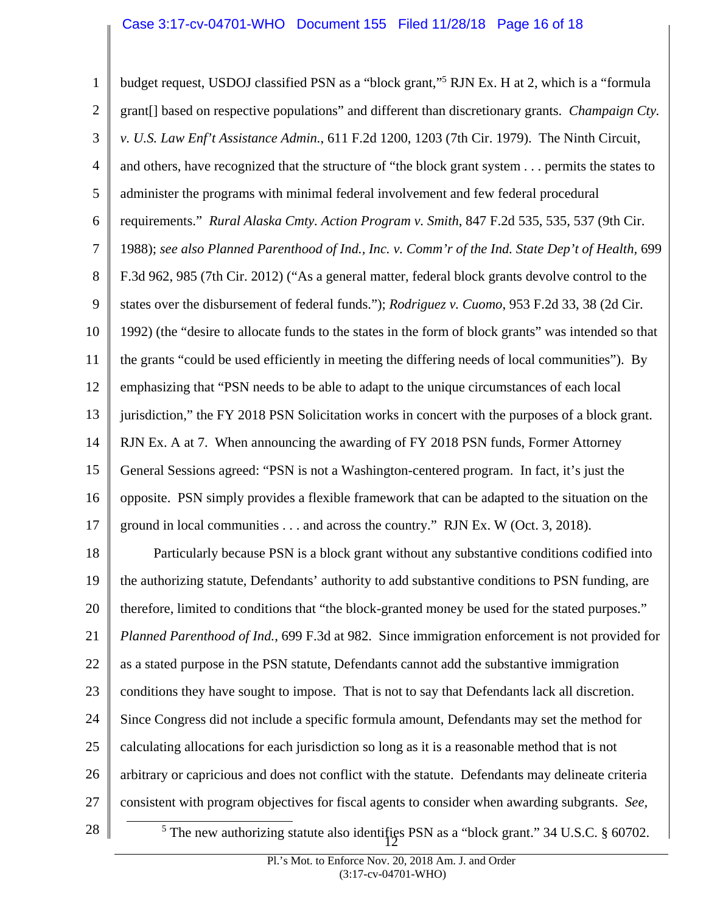<span id="page-15-0"></span>l 1 2 3 4 5 6 7 8 9 10 11 12 13 14 15 16 17 18 19 20 21 22 23 24 25 26 27 28 budget request, USDOJ classified PSN as a "block grant,"5 RJN Ex. H at 2, which is a "formula grant[] based on respective populations" and different than discretionary grants. *Champaign Cty. v. U.S. Law Enf't Assistance Admin.*, 611 F.2d 1200, 1203 (7th Cir. 1979). The Ninth Circuit, and others, have recognized that the structure of "the block grant system . . . permits the states to administer the programs with minimal federal involvement and few federal procedural requirements." *Rural Alaska Cmty. Action Program v. Smith*, 847 F.2d 535, 535, 537 (9th Cir. 1988); *see also Planned Parenthood of Ind., Inc. v. Comm'r of the Ind. State Dep't of Health,* 699 F.3d 962, 985 (7th Cir. 2012) ("As a general matter, federal block grants devolve control to the states over the disbursement of federal funds."); *Rodriguez v. Cuomo*, 953 F.2d 33, 38 (2d Cir. 1992) (the "desire to allocate funds to the states in the form of block grants" was intended so that the grants "could be used efficiently in meeting the differing needs of local communities"). By emphasizing that "PSN needs to be able to adapt to the unique circumstances of each local jurisdiction," the FY 2018 PSN Solicitation works in concert with the purposes of a block grant. RJN Ex. A at 7. When announcing the awarding of FY 2018 PSN funds, Former Attorney General Sessions agreed: "PSN is not a Washington-centered program. In fact, it's just the opposite. PSN simply provides a flexible framework that can be adapted to the situation on the ground in local communities . . . and across the country." RJN Ex. W (Oct. 3, 2018). Particularly because PSN is a block grant without any substantive conditions codified into the authorizing statute, Defendants' authority to add substantive conditions to PSN funding, are therefore, limited to conditions that "the block-granted money be used for the stated purposes." *Planned Parenthood of Ind.*, 699 F.3d at 982. Since immigration enforcement is not provided for as a stated purpose in the PSN statute, Defendants cannot add the substantive immigration conditions they have sought to impose. That is not to say that Defendants lack all discretion. Since Congress did not include a specific formula amount, Defendants may set the method for calculating allocations for each jurisdiction so long as it is a reasonable method that is not arbitrary or capricious and does not conflict with the statute. Defendants may delineate criteria consistent with program objectives for fiscal agents to consider when awarding subgrants. *See,*  <sup>5</sup> The new authorizing statute also identifies PSN as a "block grant." 34 U.S.C. § 60702.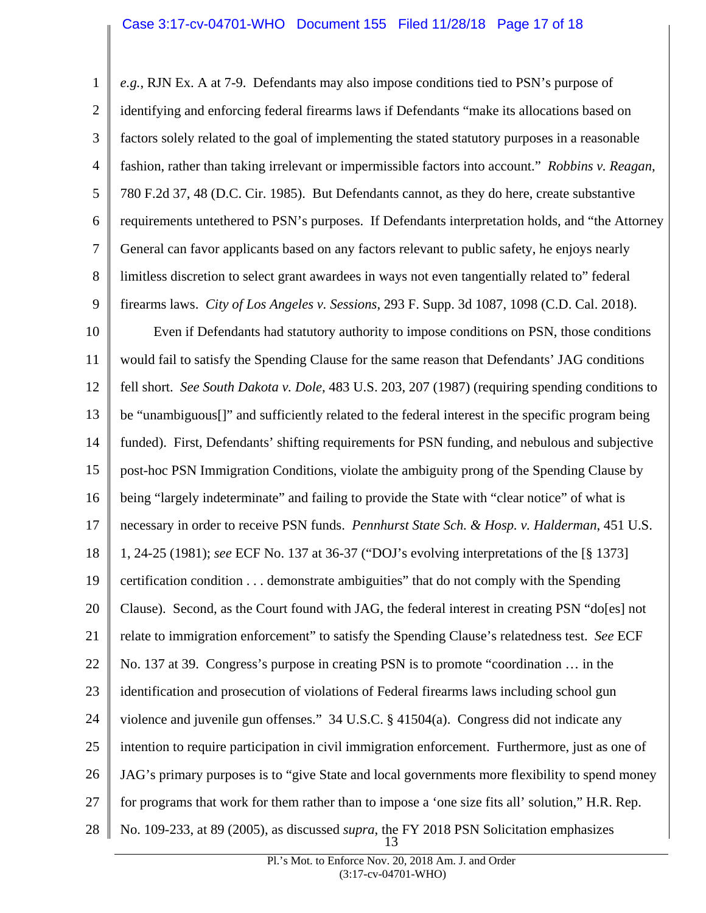<span id="page-16-0"></span>1 2 3 4 5 6 7 8 9 10 11 12 13 14 15 16 17 18 19 20 21 *e.g.*, RJN Ex. A at 7-9. Defendants may also impose conditions tied to PSN's purpose of identifying and enforcing federal firearms laws if Defendants "make its allocations based on factors solely related to the goal of implementing the stated statutory purposes in a reasonable fashion, rather than taking irrelevant or impermissible factors into account." *Robbins v. Reagan*, 780 F.2d 37, 48 (D.C. Cir. 1985). But Defendants cannot, as they do here, create substantive requirements untethered to PSN's purposes. If Defendants interpretation holds, and "the Attorney General can favor applicants based on any factors relevant to public safety, he enjoys nearly limitless discretion to select grant awardees in ways not even tangentially related to" federal firearms laws. *City of Los Angeles v. Sessions*, 293 F. Supp. 3d 1087, 1098 (C.D. Cal. 2018). Even if Defendants had statutory authority to impose conditions on PSN, those conditions would fail to satisfy the Spending Clause for the same reason that Defendants' JAG conditions fell short. *See South Dakota v. Dole*, 483 U.S. 203, 207 (1987) (requiring spending conditions to be "unambiguous[]" and sufficiently related to the federal interest in the specific program being funded). First, Defendants' shifting requirements for PSN funding, and nebulous and subjective post-hoc PSN Immigration Conditions, violate the ambiguity prong of the Spending Clause by being "largely indeterminate" and failing to provide the State with "clear notice" of what is necessary in order to receive PSN funds. *Pennhurst State Sch. & Hosp. v. Halderman*, 451 U.S. 1, 24-25 (1981); *see* ECF No. 137 at 36-37 ("DOJ's evolving interpretations of the [§ 1373] certification condition . . . demonstrate ambiguities" that do not comply with the Spending Clause). Second, as the Court found with JAG, the federal interest in creating PSN "do[es] not relate to immigration enforcement" to satisfy the Spending Clause's relatedness test. *See* ECF

22 No. 137 at 39. Congress's purpose in creating PSN is to promote "coordination … in the

23 identification and prosecution of violations of Federal firearms laws including school gun

24 violence and juvenile gun offenses." 34 U.S.C. § 41504(a). Congress did not indicate any

25 intention to require participation in civil immigration enforcement. Furthermore, just as one of

26 JAG's primary purposes is to "give State and local governments more flexibility to spend money

27 for programs that work for them rather than to impose a 'one size fits all' solution," H.R. Rep.

28 No. 109-233, at 89 (2005), as discussed *supra*, the FY 2018 PSN Solicitation emphasizes 13